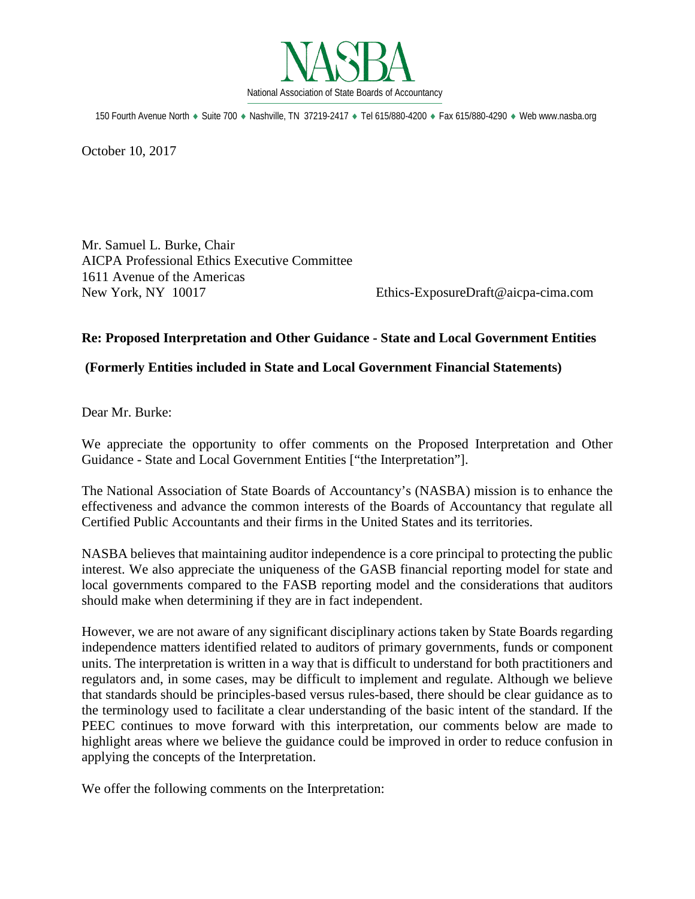

150 Fourth Avenue North ♦ Suite 700 ♦ Nashville, TN 37219-2417 ♦ Tel 615/880-4200 ♦ Fax 615/880-4290 ♦ Web www.nasba.org

October 10, 2017

Mr. Samuel L. Burke, Chair AICPA Professional Ethics Executive Committee 1611 Avenue of the Americas New York, NY 10017 Ethics-ExposureDraft@aicpa-cima.com

# **Re: Proposed Interpretation and Other Guidance - State and Local Government Entities**

### **(Formerly Entities included in State and Local Government Financial Statements)**

Dear Mr. Burke:

We appreciate the opportunity to offer comments on the Proposed Interpretation and Other Guidance - State and Local Government Entities ["the Interpretation"].

The National Association of State Boards of Accountancy's (NASBA) mission is to enhance the effectiveness and advance the common interests of the Boards of Accountancy that regulate all Certified Public Accountants and their firms in the United States and its territories.

NASBA believes that maintaining auditor independence is a core principal to protecting the public interest. We also appreciate the uniqueness of the GASB financial reporting model for state and local governments compared to the FASB reporting model and the considerations that auditors should make when determining if they are in fact independent.

However, we are not aware of any significant disciplinary actions taken by State Boards regarding independence matters identified related to auditors of primary governments, funds or component units. The interpretation is written in a way that is difficult to understand for both practitioners and regulators and, in some cases, may be difficult to implement and regulate. Although we believe that standards should be principles-based versus rules-based, there should be clear guidance as to the terminology used to facilitate a clear understanding of the basic intent of the standard. If the PEEC continues to move forward with this interpretation, our comments below are made to highlight areas where we believe the guidance could be improved in order to reduce confusion in applying the concepts of the Interpretation.

We offer the following comments on the Interpretation: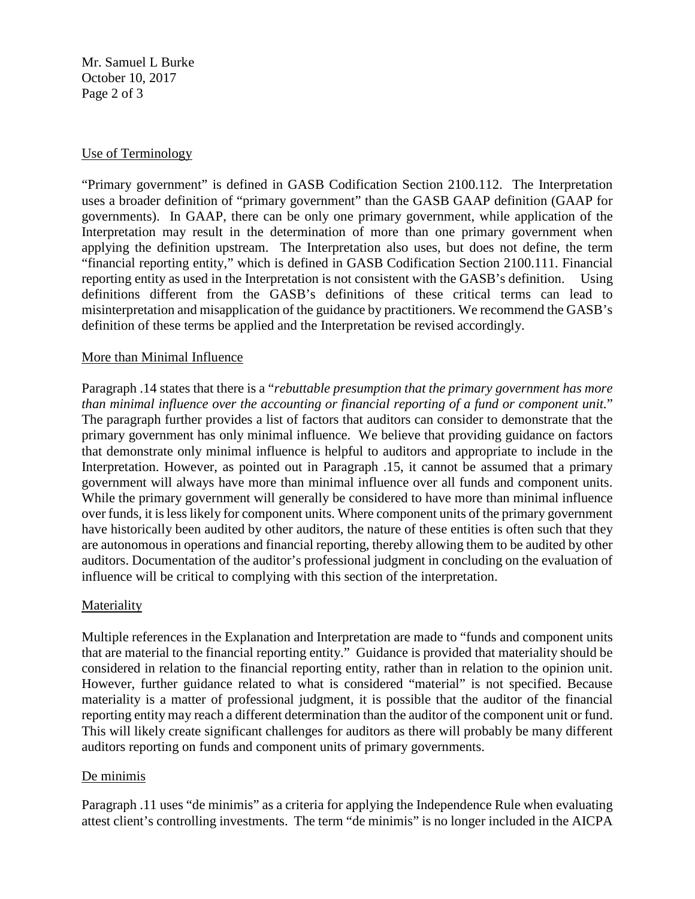Mr. Samuel L Burke October 10, 2017 Page 2 of 3

# Use of Terminology

"Primary government" is defined in GASB Codification Section 2100.112. The Interpretation uses a broader definition of "primary government" than the GASB GAAP definition (GAAP for governments). In GAAP, there can be only one primary government, while application of the Interpretation may result in the determination of more than one primary government when applying the definition upstream. The Interpretation also uses, but does not define, the term "financial reporting entity," which is defined in GASB Codification Section 2100.111. Financial reporting entity as used in the Interpretation is not consistent with the GASB's definition. Using definitions different from the GASB's definitions of these critical terms can lead to misinterpretation and misapplication of the guidance by practitioners. We recommend the GASB's definition of these terms be applied and the Interpretation be revised accordingly.

# More than Minimal Influence

Paragraph .14 states that there is a "*rebuttable presumption that the primary government has more than minimal influence over the accounting or financial reporting of a fund or component unit.*" The paragraph further provides a list of factors that auditors can consider to demonstrate that the primary government has only minimal influence. We believe that providing guidance on factors that demonstrate only minimal influence is helpful to auditors and appropriate to include in the Interpretation. However, as pointed out in Paragraph .15, it cannot be assumed that a primary government will always have more than minimal influence over all funds and component units. While the primary government will generally be considered to have more than minimal influence over funds, it is less likely for component units. Where component units of the primary government have historically been audited by other auditors, the nature of these entities is often such that they are autonomous in operations and financial reporting, thereby allowing them to be audited by other auditors. Documentation of the auditor's professional judgment in concluding on the evaluation of influence will be critical to complying with this section of the interpretation.

# Materiality

Multiple references in the Explanation and Interpretation are made to "funds and component units that are material to the financial reporting entity." Guidance is provided that materiality should be considered in relation to the financial reporting entity, rather than in relation to the opinion unit. However, further guidance related to what is considered "material" is not specified. Because materiality is a matter of professional judgment, it is possible that the auditor of the financial reporting entity may reach a different determination than the auditor of the component unit or fund. This will likely create significant challenges for auditors as there will probably be many different auditors reporting on funds and component units of primary governments.

# De minimis

Paragraph .11 uses "de minimis" as a criteria for applying the Independence Rule when evaluating attest client's controlling investments. The term "de minimis" is no longer included in the AICPA